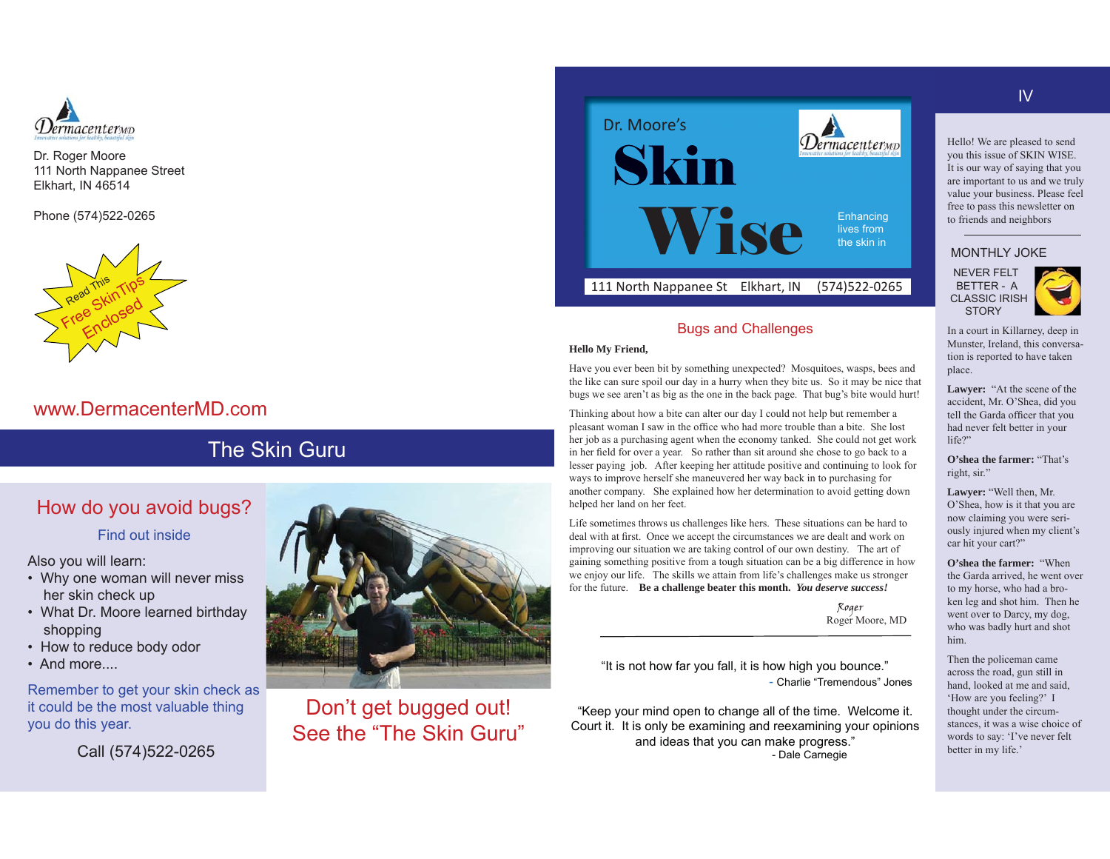

Dr. Roger Moore 111 North Nappanee Street Elkhart, IN 46514

Phone (574)522-0265



# www.DermacenterMD.com

# The Skin Guru

# How do you avoid bugs?

Find out inside

Also you will learn:

- Why one woman will never miss her skin check up
- What Dr. Moore learned birthday shopping
- How to reduce body odor
- And more....

Remember to get your skin check as it could be the most valuable thing you do this year.

Call (574)522-0265



Don't get bugged out! See the "The Skin Guru"



## Bugs and Challenges

#### **Hello My Friend,**

Have you ever been bit by something unexpected? Mosquitoes, wasps, bees and the like can sure spoil our day in a hurry when they bite us. So it may be nice that bugs we see aren't as big as the one in the back page. That bug's bite would hurt!

Thinking about how a bite can alter our day I could not help but remember a pleasant woman I saw in the office who had more trouble than a bite. She lost her job as a purchasing agent when the economy tanked. She could not get work in her field for over a year. So rather than sit around she chose to go back to a lesser paying job. After keeping her attitude positive and continuing to look for ways to improve herself she maneuvered her way back in to purchasing for another company. She explained how her determination to avoid getting down helped her land on her feet.

Life sometimes throws us challenges like hers. These situations can be hard to deal with at first. Once we accept the circumstances we are dealt and work on improving our situation we are taking control of our own destiny. The art of gaining something positive from a tough situation can be a big difference in how we enjoy our life. The skills we attain from life's challenges make us stronger for the future. **Be a challenge beater this month.** *You deserve success!*

Roger Roger Moore, MD

"It is not how far you fall, it is how high you bounce." - Charlie "Tremendous" Jones

"Keep your mind open to change all of the time. Welcome it. Court it. It is only be examining and reexamining your opinions and ideas that you can make progress." - Dale Carnegie

## IV

Hello! We are pleased to send you this issue of SKIN WISE. It is our way of saying that you are important to us and we truly value your business. Please feel free to pass this newsletter on to friends and neighbors

#### MONTHLY JOKE

 NEVER FELT BETTER - A CLASSIC IRISH **STORY** 

In a court in Killarney, deep in Munster, Ireland, this conversation is reported to have taken place.

**Lawyer:** "At the scene of the accident, Mr. 2'Shea, did you tell the Garda officer that you had never felt better in your life?"

**O'shea the farmer:** "That's right, sir."

**Lawyer:** "Well then, Mr. 2'Shea, how is it that you are now claiming you were seriously injured when my client's car hit your cart?"

**O'shea the farmer:** "When the Garda arrived, he went over to my horse, who had a broken leg and shot him. Then he went over to Darcy, my dog, who was badly hurt and shot him.

Then the policeman came across the road, gun still in hand, looked at me and said, 'How are you feeling?' I thought under the circumstances, it was a wise choice of words to say: 'I've never felt better in my life.'